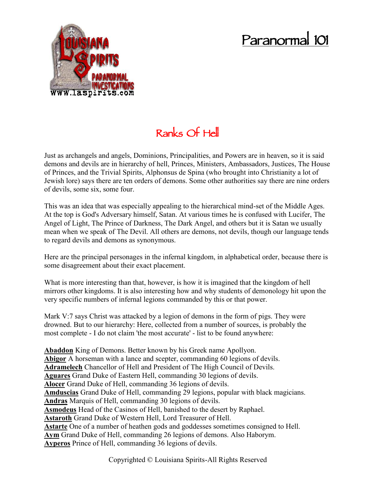## **Paranormal 101**



## **Ranks Of Hell**

Just as archangels and angels, Dominions, Principalities, and Powers are in heaven, so it is said demons and devils are in hierarchy of hell, Princes, Ministers, Ambassadors, Justices, The House of Princes, and the Trivial Spirits, Alphonsus de Spina (who brought into Christianity a lot of Jewish lore) says there are ten orders of demons. Some other authorities say there are nine orders of devils, some six, some four.

This was an idea that was especially appealing to the hierarchical mind-set of the Middle Ages. At the top is God's Adversary himself, Satan. At various times he is confused with Lucifer, The Angel of Light, The Prince of Darkness, The Dark Angel, and others but it is Satan we usually mean when we speak of The Devil. All others are demons, not devils, though our language tends to regard devils and demons as synonymous.

Here are the principal personages in the infernal kingdom, in alphabetical order, because there is some disagreement about their exact placement.

What is more interesting than that, however, is how it is imagined that the kingdom of hell mirrors other kingdoms. It is also interesting how and why students of demonology hit upon the very specific numbers of infernal legions commanded by this or that power.

Mark V:7 says Christ was attacked by a legion of demons in the form of pigs. They were drowned. But to our hierarchy: Here, collected from a number of sources, is probably the most complete - I do not claim 'the most accurate' - list to be found anywhere:

**Abaddon** King of Demons. Better known by his Greek name Apollyon. **Abigor** A horseman with a lance and scepter, commanding 60 legions of devils. **Adramelech** Chancellor of Hell and President of The High Council of Devils. **Aguares** Grand Duke of Eastern Hell, commanding 30 legions of devils. **Alocer** Grand Duke of Hell, commanding 36 legions of devils. **Amduscias** Grand Duke of Hell, commanding 29 legions, popular with black magicians. **Andras** Marquis of Hell, commanding 30 legions of devils. **Asmodeus** Head of the Casinos of Hell, banished to the desert by Raphael. **Astaroth** Grand Duke of Western Hell, Lord Treasurer of Hell. **Astarte** One of a number of heathen gods and goddesses sometimes consigned to Hell. **Aym** Grand Duke of Hell, commanding 26 legions of demons. Also Haborym. **Ayperos** Prince of Hell, commanding 36 legions of devils.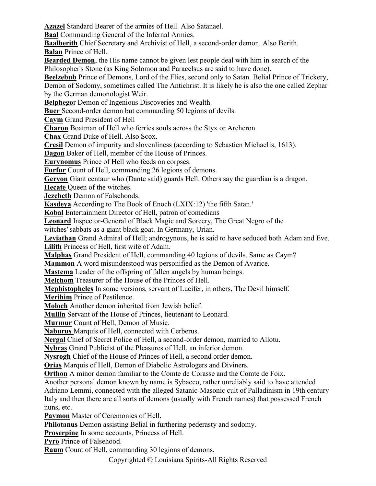**Azazel** Standard Bearer of the armies of Hell. Also Satanael.

**Baal** Commanding General of the Infernal Armies.

**Baalberith** Chief Secretary and Archivist of Hell, a second-order demon. Also Berith. **Balan** Prince of Hell.

**Bearded Demon**, the His name cannot be given lest people deal with him in search of the Philosopher's Stone (as King Solomon and Paracelsus are said to have done).

**Beelzebub** Prince of Demons, Lord of the Flies, second only to Satan. Belial Prince of Trickery, Demon of Sodomy, sometimes called The Antichrist. It is likely he is also the one called Zephar

by the German demonologist Weir.

**Belphego**r Demon of Ingenious Discoveries and Wealth.

**Buer** Second-order demon but commanding 50 legions of devils.

**Caym** Grand President of Hell

**Charon** Boatman of Hell who ferries souls across the Styx or Archeron

**Chax** Grand Duke of Hell. Also Scox.

**Cresil** Demon of impurity and slovenliness (according to Sebastien Michaelis, 1613).

**Dagon** Baker of Hell, member of the House of Princes.

**Eurynomus** Prince of Hell who feeds on corpses.

**Furfur** Count of Hell, commanding 26 legions of demons.

**Geryon** Giant centaur who (Dante said) guards Hell. Others say the guardian is a dragon.

**Hecate** Queen of the witches.

**Jezebeth** Demon of Falsehoods.

**Kasdeya** According to The Book of Enoch (LXIX:12) 'the fifth Satan.'

**Kobal** Entertainment Director of Hell, patron of comedians

**Leonard** Inspector-General of Black Magic and Sorcery, The Great Negro of the

witches' sabbats as a giant black goat. In Germany, Urian.

**Leviathan** Grand Admiral of Hell; androgynous, he is said to have seduced both Adam and Eve. **Lilith** Princess of Hell, first wife of Adam.

**Malphas** Grand President of Hell, commanding 40 legions of devils. Same as Caym?

**Mammon** A word misunderstood was personified as the Demon of Avarice.

**Mastema** Leader of the offspring of fallen angels by human beings.

**Melchom** Treasurer of the House of the Princes of Hell.

**Mephistopheles** In some versions, servant of Lucifer, in others, The Devil himself.

**Merihim** Prince of Pestilence.

**Moloch** Another demon inherited from Jewish belief.

**Mullin** Servant of the House of Princes, lieutenant to Leonard.

**Murmur** Count of Hell, Demon of Music.

**Naburus** Marquis of Hell, connected with Cerberus.

**Nergal** Chief of Secret Police of Hell, a second-order demon, married to Allotu.

**Nybras** Grand Publicist of the Pleasures of Hell, an inferior demon.

**Nysrogh** Chief of the House of Princes of Hell, a second order demon.

**Orias** Marquis of Hell, Demon of Diabolic Astrologers and Diviners.

**Orthon** A minor demon familiar to the Comte de Corasse and the Comte de Foix.

Another personal demon known by name is Sybacco, rather unreliably said to have attended

Adriano Lemmi, connected with the alleged Satanic-Masonic cult of Palladinism in 19th century Italy and then there are all sorts of demons (usually with French names) that possessed French nuns, etc.

**Paymon** Master of Ceremonies of Hell.

**Philotanus** Demon assisting Belial in furthering pederasty and sodomy.

**Proserpine** In some accounts, Princess of Hell.

**Pyro** Prince of Falsehood.

**Raum** Count of Hell, commanding 30 legions of demons.

Copyrighted © Louisiana Spirits-All Rights Reserved